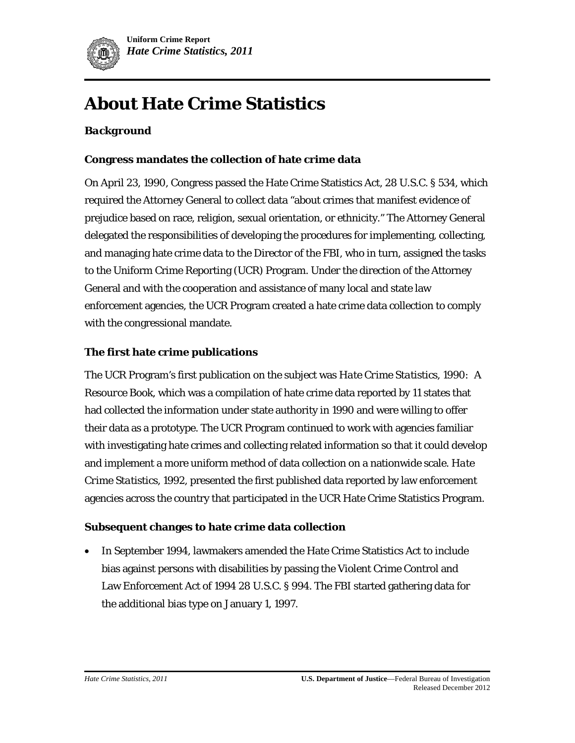

# **About Hate Crime Statistics**

#### *Background*

#### **Congress mandates the collection of hate crime data**

On April 23, 1990, Congress passed the Hate Crime Statistics Act, 28 U.S.C. § 534, which required the Attorney General to collect data "about crimes that manifest evidence of prejudice based on race, religion, sexual orientation, or ethnicity." The Attorney General delegated the responsibilities of developing the procedures for implementing, collecting, and managing hate crime data to the Director of the FBI, who in turn, assigned the tasks to the Uniform Crime Reporting (UCR) Program. Under the direction of the Attorney General and with the cooperation and assistance of many local and state law enforcement agencies, the UCR Program created a hate crime data collection to comply with the congressional mandate.

#### **The first hate crime publications**

The UCR Program's first publication on the subject was *Hate Crime Statistics, 1990: A Resource Book*, which was a compilation of hate crime data reported by 11 states that had collected the information under state authority in 1990 and were willing to offer their data as a prototype. The UCR Program continued to work with agencies familiar with investigating hate crimes and collecting related information so that it could develop and implement a more uniform method of data collection on a nationwide scale. *Hate Crime Statistics, 1992,* presented the first published data reported by law enforcement agencies across the country that participated in the UCR Hate Crime Statistics Program.

#### **Subsequent changes to hate crime data collection**

• In September 1994, lawmakers amended the Hate Crime Statistics Act to include bias against persons with disabilities by passing the Violent Crime Control and Law Enforcement Act of 1994 28 U.S.C. § 994. The FBI started gathering data for the additional bias type on January 1, 1997.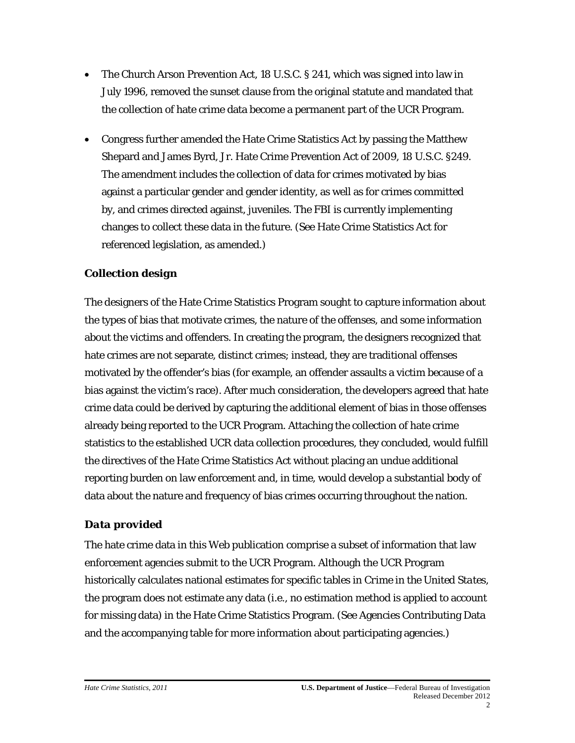- The Church Arson Prevention Act, 18 U.S.C. § 241, which was signed into law in July 1996, removed the sunset clause from the original statute and mandated that the collection of hate crime data become a permanent part of the UCR Program.
- Congress further amended the Hate Crime Statistics Act by passing the Matthew Shepard and James Byrd, Jr. Hate Crime Prevention Act of 2009, 18 U.S.C. §249. The amendment includes the collection of data for crimes motivated by bias against a particular gender and gender identity, as well as for crimes committed by, and crimes directed against, juveniles. The FBI is currently implementing changes to collect these data in the future. (See Hate Crime Statistics Act for referenced legislation, as amended.)

# *Collection design*

The designers of the Hate Crime Statistics Program sought to capture information about the types of bias that motivate crimes, the nature of the offenses, and some information about the victims and offenders. In creating the program, the designers recognized that hate crimes are not separate, distinct crimes; instead, they are traditional offenses motivated by the offender's bias (for example, an offender assaults a victim because of a bias against the victim's race). After much consideration, the developers agreed that hate crime data could be derived by capturing the additional element of bias in those offenses already being reported to the UCR Program. Attaching the collection of hate crime statistics to the established UCR data collection procedures, they concluded, would fulfill the directives of the Hate Crime Statistics Act without placing an undue additional reporting burden on law enforcement and, in time, would develop a substantial body of data about the nature and frequency of bias crimes occurring throughout the nation.

# *Data provided*

The hate crime data in this Web publication comprise a subset of information that law enforcement agencies submit to the UCR Program. Although the UCR Program historically calculates national estimates for specific tables in *Crime in the United States*, the program does not estimate any data (i.e., no estimation method is applied to account for missing data) in the Hate Crime Statistics Program. (See Agencies Contributing Data and the accompanying table for more information about participating agencies.)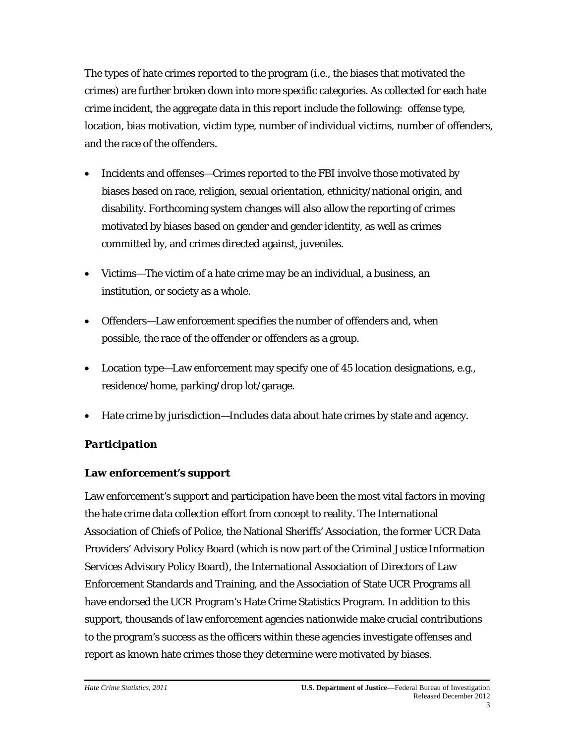The types of hate crimes reported to the program (i.e., the biases that motivated the crimes) are further broken down into more specific categories. As collected for each hate crime incident, the aggregate data in this report include the following: offense type, location, bias motivation, victim type, number of individual victims, number of offenders, and the race of the offenders.

- Incidents and offenses—Crimes reported to the FBI involve those motivated by biases based on race, religion, sexual orientation, ethnicity/national origin, and disability. Forthcoming system changes will also allow the reporting of crimes motivated by biases based on gender and gender identity, as well as crimes committed by, and crimes directed against, juveniles.
- Victims—The victim of a hate crime may be an individual, a business, an institution, or society as a whole.
- Offenders—Law enforcement specifies the number of offenders and, when possible, the race of the offender or offenders as a group.
- Location type—Law enforcement may specify one of 45 location designations, e.g., residence/home, parking/drop lot/garage.
- Hate crime by jurisdiction—Includes data about hate crimes by state and agency.

# *Participation*

# **Law enforcement's support**

Law enforcement's support and participation have been the most vital factors in moving the hate crime data collection effort from concept to reality. The International Association of Chiefs of Police, the National Sheriffs' Association, the former UCR Data Providers' Advisory Policy Board (which is now part of the Criminal Justice Information Services Advisory Policy Board), the International Association of Directors of Law Enforcement Standards and Training, and the Association of State UCR Programs all have endorsed the UCR Program's Hate Crime Statistics Program. In addition to this support, thousands of law enforcement agencies nationwide make crucial contributions to the program's success as the officers within these agencies investigate offenses and report as known hate crimes those they determine were motivated by biases.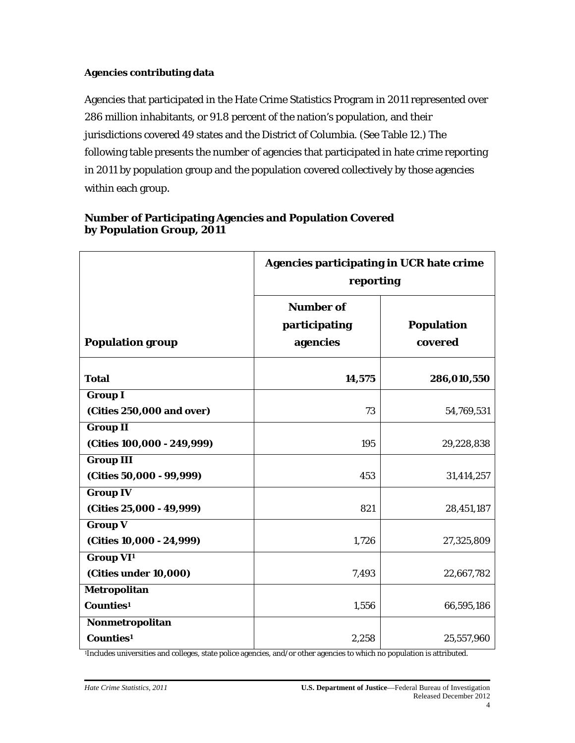#### **Agencies contributing data**

Agencies that participated in the Hate Crime Statistics Program in 2011 represented over 286 million inhabitants, or 91.8 percent of the nation's population, and their jurisdictions covered 49 states and the District of Columbia. (See Table 12.) The following table presents the number of agencies that participated in hate crime reporting in 2011 by population group and the population covered collectively by those agencies within each group.

|                                                      | <b>Agencies participating in UCR hate crime</b><br>reporting |                              |
|------------------------------------------------------|--------------------------------------------------------------|------------------------------|
| <b>Population group</b>                              | <b>Number of</b><br>participating<br>agencies                | <b>Population</b><br>covered |
| <b>Total</b>                                         | 14,575                                                       | 286,010,550                  |
| <b>Group I</b><br>(Cities 250,000 and over)          | 73                                                           | 54,769,531                   |
| <b>Group II</b><br>(Cities 100,000 - 249,999)        | 195                                                          | 29,228,838                   |
| <b>Group III</b><br>(Cities 50,000 - 99,999)         | 453                                                          | 31,414,257                   |
| <b>Group IV</b><br>(Cities 25,000 - 49,999)          | 821                                                          | 28,451,187                   |
| <b>Group V</b><br>(Cities 10,000 - 24,999)           | 1,726                                                        | 27,325,809                   |
| <b>Group VI<sup>1</sup></b><br>(Cities under 10,000) | 7,493                                                        | 22,667,782                   |
| Metropolitan<br>Counties <sup>1</sup>                | 1,556                                                        | 66,595,186                   |
| Nonmetropolitan<br>Counties <sup>1</sup>             | 2,258                                                        | 25,557,960                   |

### **Number of Participating Agencies and Population Covered by Population Group, 2011**

1Includes universities and colleges, state police agencies, and/or other agencies to which no population is attributed.